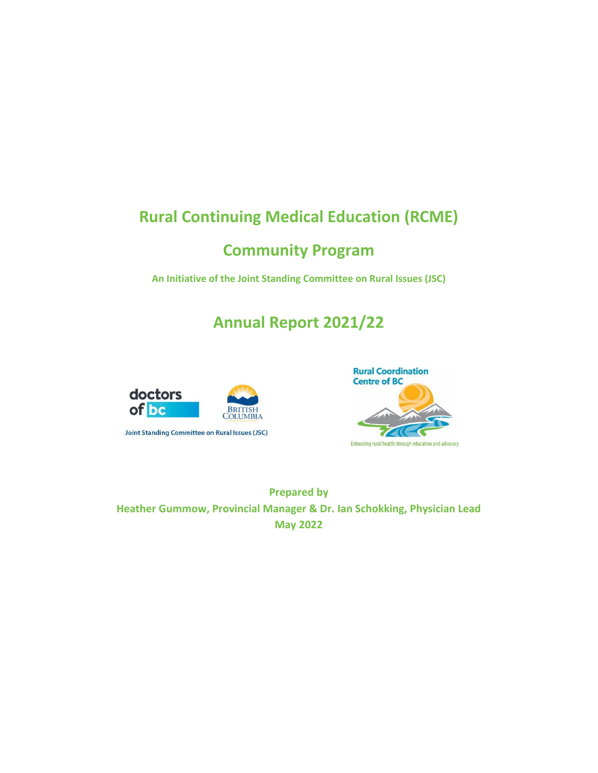# **Rural Continuing Medical Education (RCME)**

# **Community Program**

**An Initiative of the Joint Standing Committee on Rural Issues (JSC)**

# **Annual Report 2021/22**







**Prepared by Heather Gummow, Provincial Manager & Dr. Ian Schokking, Physician Lead May 2022**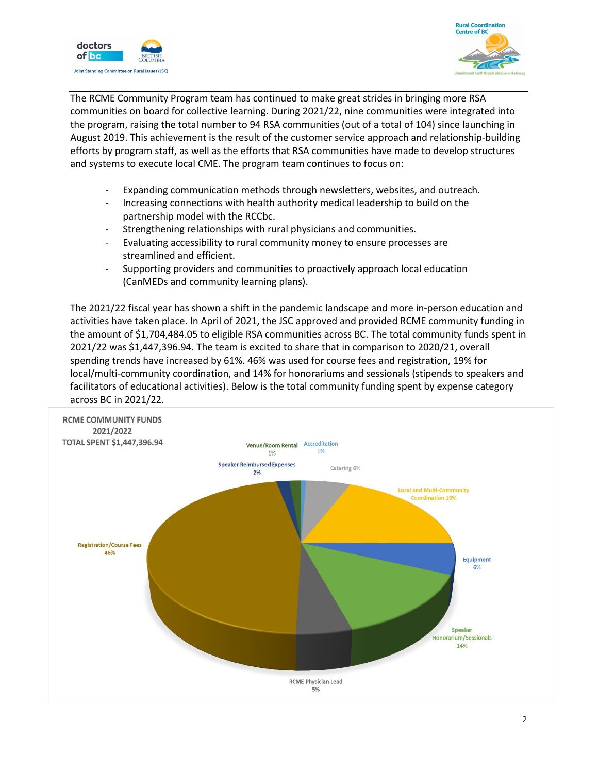



The RCME Community Program team has continued to make great strides in bringing more RSA communities on board for collective learning. During 2021/22, nine communities were integrated into the program, raising the total number to 94 RSA communities (out of a total of 104) since launching in August 2019. This achievement is the result of the customer service approach and relationship-building efforts by program staff, as well as the efforts that RSA communities have made to develop structures and systems to execute local CME. The program team continues to focus on:

- Expanding communication methods through newsletters, websites, and outreach.
- Increasing connections with health authority medical leadership to build on the partnership model with the RCCbc.
- Strengthening relationships with rural physicians and communities.
- Evaluating accessibility to rural community money to ensure processes are streamlined and efficient.
- Supporting providers and communities to proactively approach local education (CanMEDs and community learning plans).

The 2021/22 fiscal year has shown a shift in the pandemic landscape and more in-person education and activities have taken place. In April of 2021, the JSC approved and provided RCME community funding in the amount of \$1,704,484.05 to eligible RSA communities across BC. The total community funds spent in 2021/22 was \$1,447,396.94. The team is excited to share that in comparison to 2020/21, overall spending trends have increased by 61%. 46% was used for course fees and registration, 19% for local/multi-community coordination, and 14% for honorariums and sessionals (stipends to speakers and facilitators of educational activities). Below is the total community funding spent by expense category across BC in 2021/22.

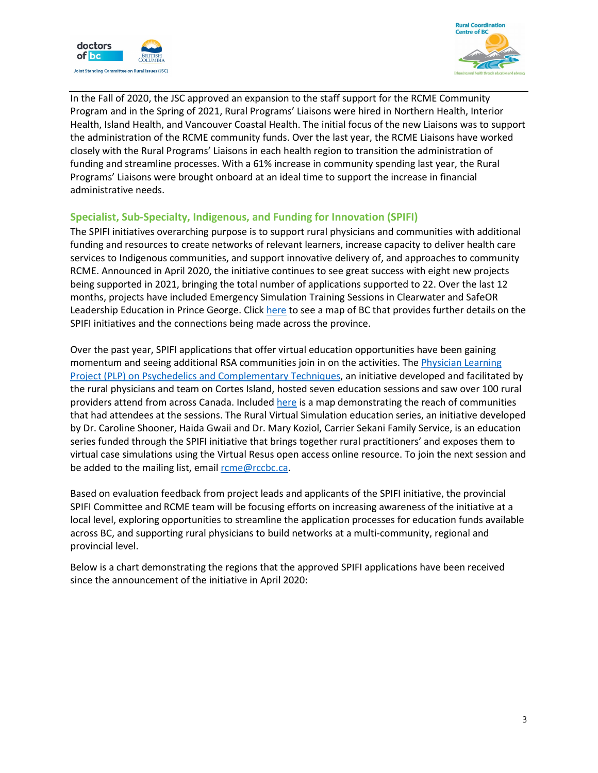



In the Fall of 2020, the JSC approved an expansion to the staff support for the RCME Community Program and in the Spring of 2021, Rural Programs' Liaisons were hired in Northern Health, Interior Health, Island Health, and Vancouver Coastal Health. The initial focus of the new Liaisons was to support the administration of the RCME community funds. Over the last year, the RCME Liaisons have worked closely with the Rural Programs' Liaisons in each health region to transition the administration of funding and streamline processes. With a 61% increase in community spending last year, the Rural Programs' Liaisons were brought onboard at an ideal time to support the increase in financial administrative needs.

#### **Specialist, Sub-Specialty, Indigenous, and Funding for Innovation (SPIFI)**

The SPIFI initiatives overarching purpose is to support rural physicians and communities with additional funding and resources to create networks of relevant learners, increase capacity to deliver health care services to Indigenous communities, and support innovative delivery of, and approaches to community RCME. Announced in April 2020, the initiative continues to see great success with eight new projects being supported in 2021, bringing the total number of applications supported to 22. Over the last 12 months, projects have included Emergency Simulation Training Sessions in Clearwater and SafeOR Leadership Education in Prince George. Clic[k here](https://www.google.com/maps/d/edit?hl=en&mid=1snKulz-PuSyyVUvdZJTnPZAKxypxG_KX&ll=54.02374932082691%2C-123.947575671875&z=6) to see a map of BC that provides further details on the SPIFI initiatives and the connections being made across the province.

Over the past year, SPIFI applications that offer virtual education opportunities have been gaining momentum and seeing additional RSA communities join in on the activities. The [Physician Learning](https://rccbc.ca/physician-learning-project-plp-on-psychedelics-and-complementary-techniques-a-virtual-series/)  [Project \(PLP\) on Psychedelics and Complementary Techniques,](https://rccbc.ca/physician-learning-project-plp-on-psychedelics-and-complementary-techniques-a-virtual-series/) an initiative developed and facilitated by the rural physicians and team on Cortes Island, hosted seven education sessions and saw over 100 rural providers attend from across Canada. Included [here](https://www.google.com/maps/d/viewer?mid=1GURez8gL8jMBopvrsW2TnP3mfQFtop6H&ll=57.42690900166827%2C-91.1425392134662&z=4) is a map demonstrating the reach of communities that had attendees at the sessions. The Rural Virtual Simulation education series, an initiative developed by Dr. Caroline Shooner, Haida Gwaii and Dr. Mary Koziol, Carrier Sekani Family Service, is an education series funded through the SPIFI initiative that brings together rural practitioners' and exposes them to virtual case simulations using the Virtual Resus open access online resource. To join the next session and be added to the mailing list, email [rcme@rccbc.ca.](mailto:rcme@rccbc.ca)

Based on evaluation feedback from project leads and applicants of the SPIFI initiative, the provincial SPIFI Committee and RCME team will be focusing efforts on increasing awareness of the initiative at a local level, exploring opportunities to streamline the application processes for education funds available across BC, and supporting rural physicians to build networks at a multi-community, regional and provincial level.

Below is a chart demonstrating the regions that the approved SPIFI applications have been received since the announcement of the initiative in April 2020: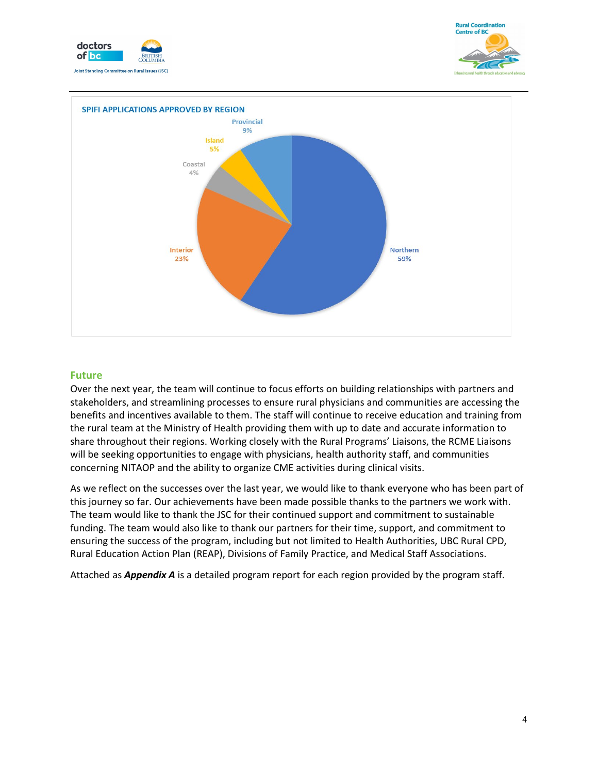





#### **Future**

Over the next year, the team will continue to focus efforts on building relationships with partners and stakeholders, and streamlining processes to ensure rural physicians and communities are accessing the benefits and incentives available to them. The staff will continue to receive education and training from the rural team at the Ministry of Health providing them with up to date and accurate information to share throughout their regions. Working closely with the Rural Programs' Liaisons, the RCME Liaisons will be seeking opportunities to engage with physicians, health authority staff, and communities concerning NITAOP and the ability to organize CME activities during clinical visits.

As we reflect on the successes over the last year, we would like to thank everyone who has been part of this journey so far. Our achievements have been made possible thanks to the partners we work with. The team would like to thank the JSC for their continued support and commitment to sustainable funding. The team would also like to thank our partners for their time, support, and commitment to ensuring the success of the program, including but not limited to Health Authorities, UBC Rural CPD, Rural Education Action Plan (REAP), Divisions of Family Practice, and Medical Staff Associations.

Attached as *Appendix A* is a detailed program report for each region provided by the program staff.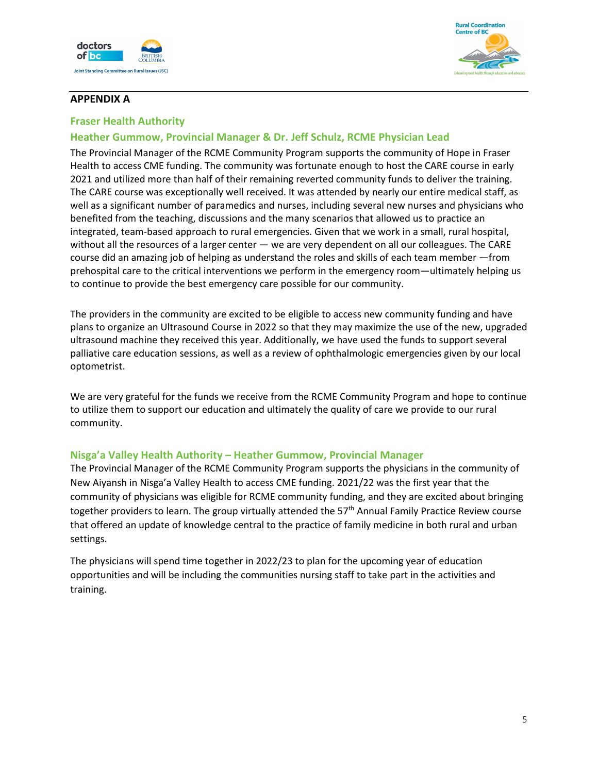



### **APPENDIX A**

#### **Fraser Health Authority**

## **Heather Gummow, Provincial Manager & Dr. Jeff Schulz, RCME Physician Lead**

The Provincial Manager of the RCME Community Program supports the community of Hope in Fraser Health to access CME funding. The community was fortunate enough to host the CARE course in early 2021 and utilized more than half of their remaining reverted community funds to deliver the training. The CARE course was exceptionally well received. It was attended by nearly our entire medical staff, as well as a significant number of paramedics and nurses, including several new nurses and physicians who benefited from the teaching, discussions and the many scenarios that allowed us to practice an integrated, team-based approach to rural emergencies. Given that we work in a small, rural hospital, without all the resources of a larger center — we are very dependent on all our colleagues. The CARE course did an amazing job of helping as understand the roles and skills of each team member —from prehospital care to the critical interventions we perform in the emergency room—ultimately helping us to continue to provide the best emergency care possible for our community.

The providers in the community are excited to be eligible to access new community funding and have plans to organize an Ultrasound Course in 2022 so that they may maximize the use of the new, upgraded ultrasound machine they received this year. Additionally, we have used the funds to support several palliative care education sessions, as well as a review of ophthalmologic emergencies given by our local optometrist.

We are very grateful for the funds we receive from the RCME Community Program and hope to continue to utilize them to support our education and ultimately the quality of care we provide to our rural community.

#### **Nisga'a Valley Health Authority – Heather Gummow, Provincial Manager**

The Provincial Manager of the RCME Community Program supports the physicians in the community of New Aiyansh in Nisga'a Valley Health to access CME funding. 2021/22 was the first year that the community of physicians was eligible for RCME community funding, and they are excited about bringing together providers to learn. The group virtually attended the 57<sup>th</sup> Annual Family Practice Review course that offered an update of knowledge central to the practice of family medicine in both rural and urban settings.

The physicians will spend time together in 2022/23 to plan for the upcoming year of education opportunities and will be including the communities nursing staff to take part in the activities and training.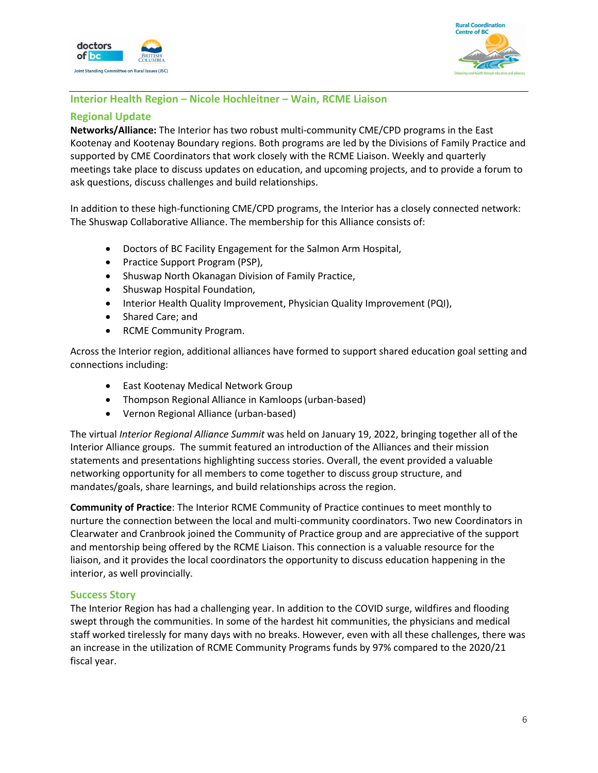



## **Interior Health Region – Nicole Hochleitner – Wain, RCME Liaison**

### **Regional Update**

**Networks/Alliance:** The Interior has two robust multi-community CME/CPD programs in the East Kootenay and Kootenay Boundary regions. Both programs are led by the Divisions of Family Practice and supported by CME Coordinators that work closely with the RCME Liaison. Weekly and quarterly meetings take place to discuss updates on education, and upcoming projects, and to provide a forum to ask questions, discuss challenges and build relationships.

In addition to these high-functioning CME/CPD programs, the Interior has a closely connected network: The Shuswap Collaborative Alliance. The membership for this Alliance consists of:

- Doctors of BC Facility Engagement for the Salmon Arm Hospital,
- Practice Support Program (PSP),
- Shuswap North Okanagan Division of Family Practice,
- Shuswap Hospital Foundation,
- Interior Health Quality Improvement, Physician Quality Improvement (PQI),
- Shared Care; and
- RCME Community Program.

Across the Interior region, additional alliances have formed to support shared education goal setting and connections including:

- East Kootenay Medical Network Group
- Thompson Regional Alliance in Kamloops (urban-based)
- Vernon Regional Alliance (urban-based)

The virtual *Interior Regional Alliance Summit* was held on January 19, 2022, bringing together all of the Interior Alliance groups. The summit featured an introduction of the Alliances and their mission statements and presentations highlighting success stories. Overall, the event provided a valuable networking opportunity for all members to come together to discuss group structure, and mandates/goals, share learnings, and build relationships across the region.

**Community of Practice**: The Interior RCME Community of Practice continues to meet monthly to nurture the connection between the local and multi-community coordinators. Two new Coordinators in Clearwater and Cranbrook joined the Community of Practice group and are appreciative of the support and mentorship being offered by the RCME Liaison. This connection is a valuable resource for the liaison, and it provides the local coordinators the opportunity to discuss education happening in the interior, as well provincially.

#### **Success Story**

The Interior Region has had a challenging year. In addition to the COVID surge, wildfires and flooding swept through the communities. In some of the hardest hit communities, the physicians and medical staff worked tirelessly for many days with no breaks. However, even with all these challenges, there was an increase in the utilization of RCME Community Programs funds by 97% compared to the 2020/21 fiscal year.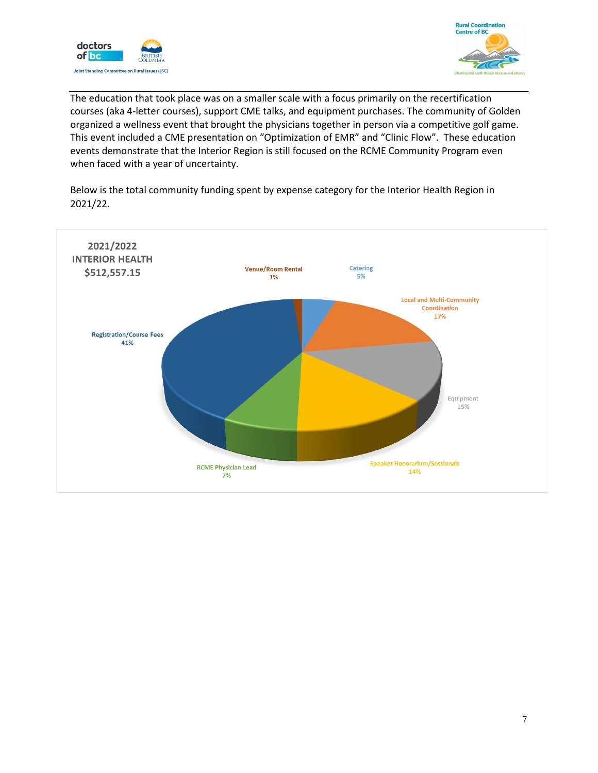



The education that took place was on a smaller scale with a focus primarily on the recertification courses (aka 4-letter courses), support CME talks, and equipment purchases. The community of Golden organized a wellness event that brought the physicians together in person via a competitive golf game. This event included a CME presentation on "Optimization of EMR" and "Clinic Flow". These education events demonstrate that the Interior Region is still focused on the RCME Community Program even when faced with a year of uncertainty.

Below is the total community funding spent by expense category for the Interior Health Region in 2021/22.

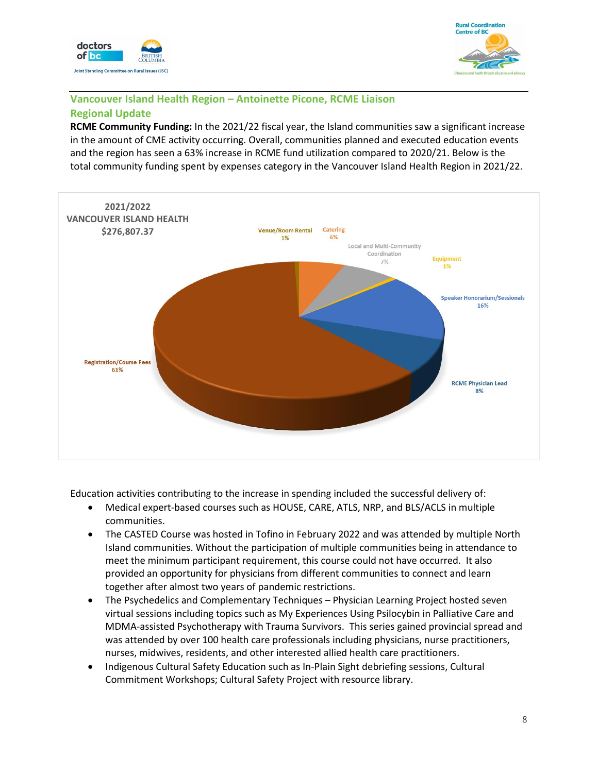



## **Vancouver Island Health Region – Antoinette Picone, RCME Liaison Regional Update**

**RCME Community Funding:** In the 2021/22 fiscal year, the Island communities saw a significant increase in the amount of CME activity occurring. Overall, communities planned and executed education events and the region has seen a 63% increase in RCME fund utilization compared to 2020/21. Below is the total community funding spent by expenses category in the Vancouver Island Health Region in 2021/22.



Education activities contributing to the increase in spending included the successful delivery of:

- Medical expert-based courses such as HOUSE, CARE, ATLS, NRP, and BLS/ACLS in multiple communities.
- The CASTED Course was hosted in Tofino in February 2022 and was attended by multiple North Island communities. Without the participation of multiple communities being in attendance to meet the minimum participant requirement, this course could not have occurred. It also provided an opportunity for physicians from different communities to connect and learn together after almost two years of pandemic restrictions.
- The Psychedelics and Complementary Techniques Physician Learning Project hosted seven virtual sessions including topics such as My Experiences Using Psilocybin in Palliative Care and MDMA-assisted Psychotherapy with Trauma Survivors. This series gained provincial spread and was attended by over 100 health care professionals including physicians, nurse practitioners, nurses, midwives, residents, and other interested allied health care practitioners.
- Indigenous Cultural Safety Education such as In-Plain Sight debriefing sessions, Cultural Commitment Workshops; Cultural Safety Project with resource library.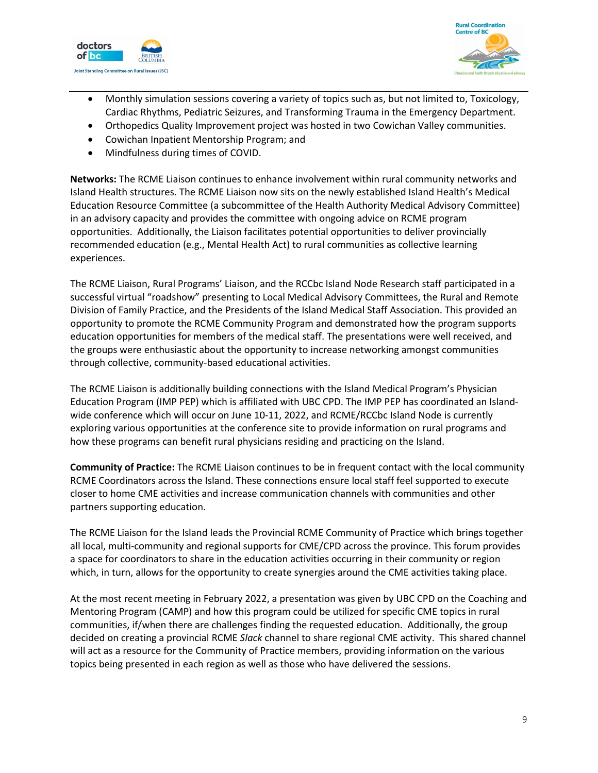



- Monthly simulation sessions covering a variety of topics such as, but not limited to, Toxicology, Cardiac Rhythms, Pediatric Seizures, and Transforming Trauma in the Emergency Department.
- Orthopedics Quality Improvement project was hosted in two Cowichan Valley communities.
- Cowichan Inpatient Mentorship Program; and
- Mindfulness during times of COVID.

**Networks:** The RCME Liaison continues to enhance involvement within rural community networks and Island Health structures. The RCME Liaison now sits on the newly established Island Health's Medical Education Resource Committee (a subcommittee of the Health Authority Medical Advisory Committee) in an advisory capacity and provides the committee with ongoing advice on RCME program opportunities. Additionally, the Liaison facilitates potential opportunities to deliver provincially recommended education (e.g., Mental Health Act) to rural communities as collective learning experiences.

The RCME Liaison, Rural Programs' Liaison, and the RCCbc Island Node Research staff participated in a successful virtual "roadshow" presenting to Local Medical Advisory Committees, the Rural and Remote Division of Family Practice, and the Presidents of the Island Medical Staff Association. This provided an opportunity to promote the RCME Community Program and demonstrated how the program supports education opportunities for members of the medical staff. The presentations were well received, and the groups were enthusiastic about the opportunity to increase networking amongst communities through collective, community-based educational activities.

The RCME Liaison is additionally building connections with the Island Medical Program's Physician Education Program (IMP PEP) which is affiliated with UBC CPD. The IMP PEP has coordinated an Islandwide conference which will occur on June 10-11, 2022, and RCME/RCCbc Island Node is currently exploring various opportunities at the conference site to provide information on rural programs and how these programs can benefit rural physicians residing and practicing on the Island.

**Community of Practice:** The RCME Liaison continues to be in frequent contact with the local community RCME Coordinators across the Island. These connections ensure local staff feel supported to execute closer to home CME activities and increase communication channels with communities and other partners supporting education.

The RCME Liaison for the Island leads the Provincial RCME Community of Practice which brings together all local, multi-community and regional supports for CME/CPD across the province. This forum provides a space for coordinators to share in the education activities occurring in their community or region which, in turn, allows for the opportunity to create synergies around the CME activities taking place.

At the most recent meeting in February 2022, a presentation was given by UBC CPD on the Coaching and Mentoring Program (CAMP) and how this program could be utilized for specific CME topics in rural communities, if/when there are challenges finding the requested education. Additionally, the group decided on creating a provincial RCME *Slack* channel to share regional CME activity. This shared channel will act as a resource for the Community of Practice members, providing information on the various topics being presented in each region as well as those who have delivered the sessions.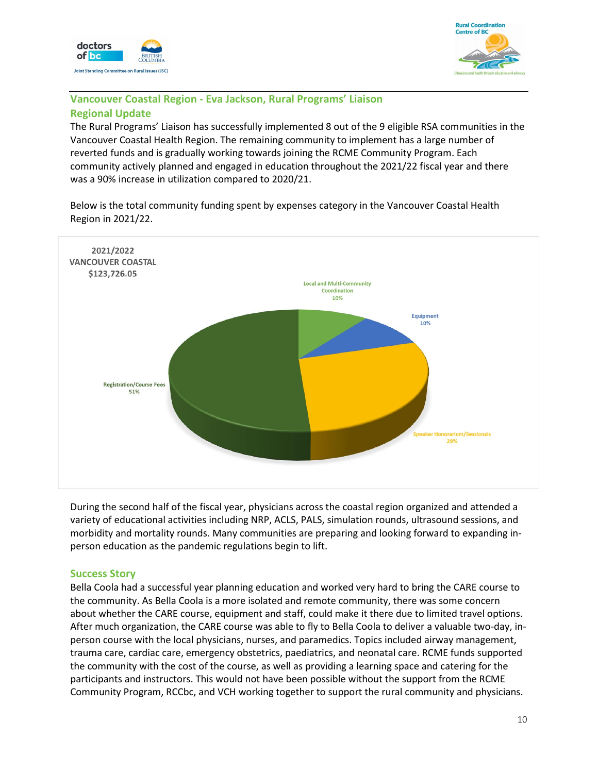



## **Vancouver Coastal Region - Eva Jackson, Rural Programs' Liaison Regional Update**

The Rural Programs' Liaison has successfully implemented 8 out of the 9 eligible RSA communities in the Vancouver Coastal Health Region. The remaining community to implement has a large number of reverted funds and is gradually working towards joining the RCME Community Program. Each community actively planned and engaged in education throughout the 2021/22 fiscal year and there was a 90% increase in utilization compared to 2020/21.

Below is the total community funding spent by expenses category in the Vancouver Coastal Health Region in 2021/22.



During the second half of the fiscal year, physicians across the coastal region organized and attended a variety of educational activities including NRP, ACLS, PALS, simulation rounds, ultrasound sessions, and morbidity and mortality rounds. Many communities are preparing and looking forward to expanding inperson education as the pandemic regulations begin to lift.

#### **Success Story**

Bella Coola had a successful year planning education and worked very hard to bring the CARE course to the community. As Bella Coola is a more isolated and remote community, there was some concern about whether the CARE course, equipment and staff, could make it there due to limited travel options. After much organization, the CARE course was able to fly to Bella Coola to deliver a valuable two-day, inperson course with the local physicians, nurses, and paramedics. Topics included airway management, trauma care, cardiac care, emergency obstetrics, paediatrics, and neonatal care. RCME funds supported the community with the cost of the course, as well as providing a learning space and catering for the participants and instructors. This would not have been possible without the support from the RCME Community Program, RCCbc, and VCH working together to support the rural community and physicians.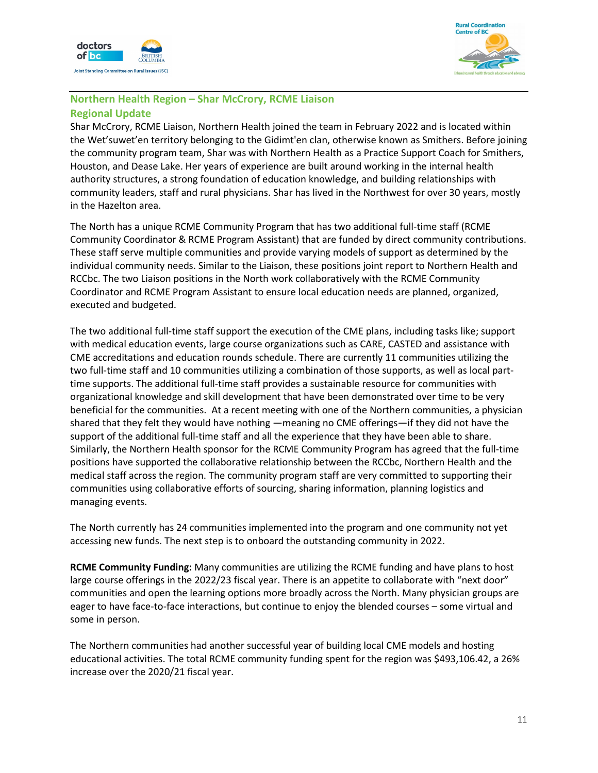



# **Northern Health Region – Shar McCrory, RCME Liaison Regional Update**

Shar McCrory, RCME Liaison, Northern Health joined the team in February 2022 and is located within the Wet'suwet'en territory belonging to the Gidimt'en clan, otherwise known as Smithers. Before joining the community program team, Shar was with Northern Health as a Practice Support Coach for Smithers, Houston, and Dease Lake. Her years of experience are built around working in the internal health authority structures, a strong foundation of education knowledge, and building relationships with community leaders, staff and rural physicians. Shar has lived in the Northwest for over 30 years, mostly in the Hazelton area.

The North has a unique RCME Community Program that has two additional full-time staff (RCME Community Coordinator & RCME Program Assistant) that are funded by direct community contributions. These staff serve multiple communities and provide varying models of support as determined by the individual community needs. Similar to the Liaison, these positions joint report to Northern Health and RCCbc. The two Liaison positions in the North work collaboratively with the RCME Community Coordinator and RCME Program Assistant to ensure local education needs are planned, organized, executed and budgeted.

The two additional full-time staff support the execution of the CME plans, including tasks like; support with medical education events, large course organizations such as CARE, CASTED and assistance with CME accreditations and education rounds schedule. There are currently 11 communities utilizing the two full-time staff and 10 communities utilizing a combination of those supports, as well as local parttime supports. The additional full-time staff provides a sustainable resource for communities with organizational knowledge and skill development that have been demonstrated over time to be very beneficial for the communities. At a recent meeting with one of the Northern communities, a physician shared that they felt they would have nothing —meaning no CME offerings—if they did not have the support of the additional full-time staff and all the experience that they have been able to share. Similarly, the Northern Health sponsor for the RCME Community Program has agreed that the full-time positions have supported the collaborative relationship between the RCCbc, Northern Health and the medical staff across the region. The community program staff are very committed to supporting their communities using collaborative efforts of sourcing, sharing information, planning logistics and managing events.

The North currently has 24 communities implemented into the program and one community not yet accessing new funds. The next step is to onboard the outstanding community in 2022.

**RCME Community Funding:** Many communities are utilizing the RCME funding and have plans to host large course offerings in the 2022/23 fiscal year. There is an appetite to collaborate with "next door" communities and open the learning options more broadly across the North. Many physician groups are eager to have face-to-face interactions, but continue to enjoy the blended courses – some virtual and some in person.

The Northern communities had another successful year of building local CME models and hosting educational activities. The total RCME community funding spent for the region was \$493,106.42, a 26% increase over the 2020/21 fiscal year.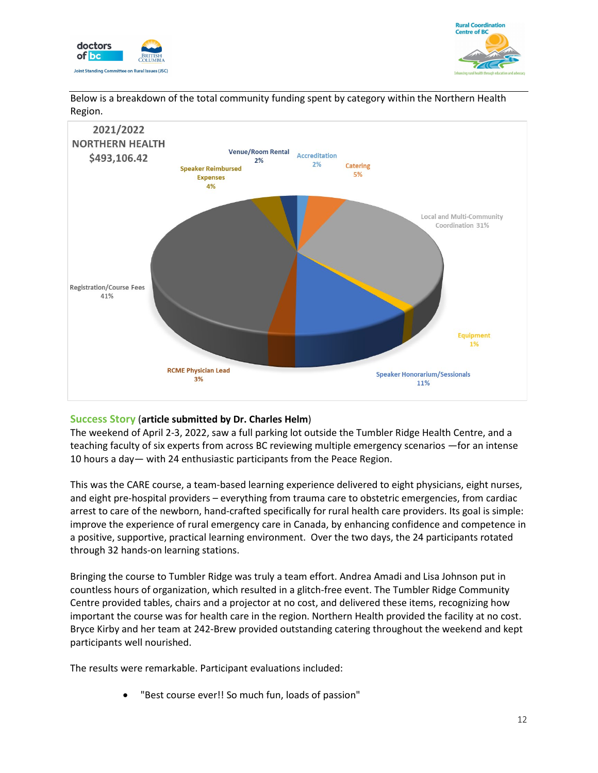





Below is a breakdown of the total community funding spent by category within the Northern Health Region.

#### **Success Story** (**article submitted by Dr. Charles Helm**)

The weekend of April 2-3, 2022, saw a full parking lot outside the Tumbler Ridge Health Centre, and a teaching faculty of six experts from across BC reviewing multiple emergency scenarios —for an intense 10 hours a day— with 24 enthusiastic participants from the Peace Region.

This was the CARE course, a team-based learning experience delivered to eight physicians, eight nurses, and eight pre-hospital providers – everything from trauma care to obstetric emergencies, from cardiac arrest to care of the newborn, hand-crafted specifically for rural health care providers. Its goal is simple: improve the experience of rural emergency care in Canada, by enhancing confidence and competence in a positive, supportive, practical learning environment. Over the two days, the 24 participants rotated through 32 hands-on learning stations.

Bringing the course to Tumbler Ridge was truly a team effort. Andrea Amadi and Lisa Johnson put in countless hours of organization, which resulted in a glitch-free event. The Tumbler Ridge Community Centre provided tables, chairs and a projector at no cost, and delivered these items, recognizing how important the course was for health care in the region. Northern Health provided the facility at no cost. Bryce Kirby and her team at 242-Brew provided outstanding catering throughout the weekend and kept participants well nourished.

The results were remarkable. Participant evaluations included:

• "Best course ever!! So much fun, loads of passion"